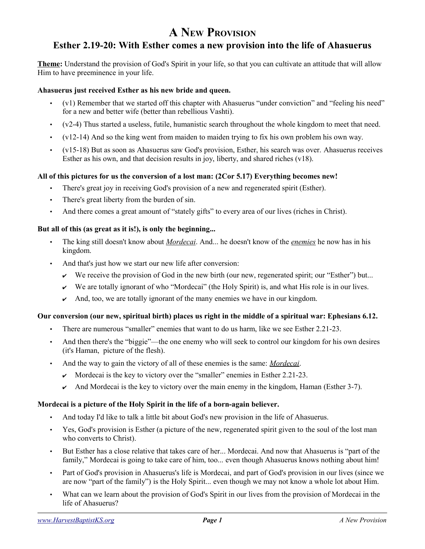# **A NEW PROVISION**

## **Esther 2.19-20: With Esther comes a new provision into the life of Ahasuerus**

**Theme:** Understand the provision of God's Spirit in your life, so that you can cultivate an attitude that will allow Him to have preeminence in your life.

#### **Ahasuerus just received Esther as his new bride and queen.**

- (v1) Remember that we started off this chapter with Ahasuerus "under conviction" and "feeling his need" for a new and better wife (better than rebellious Vashti).
- (v2-4) Thus started a useless, futile, humanistic search throughout the whole kingdom to meet that need.
- (v12-14) And so the king went from maiden to maiden trying to fix his own problem his own way.
- (v15-18) But as soon as Ahasuerus saw God's provision, Esther, his search was over. Ahasuerus receives Esther as his own, and that decision results in joy, liberty, and shared riches  $(v18)$ .

#### **All of this pictures for us the conversion of a lost man: (2Cor 5.17) Everything becomes new!**

- There's great joy in receiving God's provision of a new and regenerated spirit (Esther).
- There's great liberty from the burden of sin.
- And there comes a great amount of "stately gifts" to every area of our lives (riches in Christ).

#### **But all of this (as great as it is!), is only the beginning...**

- The king still doesn't know about *Mordecai*. And... he doesn't know of the *enemies* he now has in his kingdom.
- And that's just how we start our new life after conversion:
	- We receive the provision of God in the new birth (our new, regenerated spirit; our "Esther") but...
	- $\triangleright$  We are totally ignorant of who "Mordecai" (the Holy Spirit) is, and what His role is in our lives.
	- $\lambda$  And, too, we are totally ignorant of the many enemies we have in our kingdom.

#### **Our conversion (our new, spiritual birth) places us right in the middle of a spiritual war: Ephesians 6.12.**

- There are numerous "smaller" enemies that want to do us harm, like we see Esther 2.21-23.
- And then there's the "biggie"—the one enemy who will seek to control our kingdom for his own desires (it's Haman, picture of the flesh).
- And the way to gain the victory of all of these enemies is the same: *Mordecai*.
	- $\sim$  Mordecai is the key to victory over the "smaller" enemies in Esther 2.21-23.
	- And Mordecai is the key to victory over the main enemy in the kingdom, Haman (Esther 3-7).

#### **Mordecai is a picture of the Holy Spirit in the life of a born-again believer.**

- And today I'd like to talk a little bit about God's new provision in the life of Ahasuerus.
- Yes, God's provision is Esther (a picture of the new, regenerated spirit given to the soul of the lost man who converts to Christ).
- But Esther has a close relative that takes care of her... Mordecai. And now that Ahasuerus is "part of the family," Mordecai is going to take care of him, too... even though Ahasuerus knows nothing about him!
- Part of God's provision in Ahasuerus's life is Mordecai, and part of God's provision in our lives (since we are now "part of the family") is the Holy Spirit... even though we may not know a whole lot about Him.
- What can we learn about the provision of God's Spirit in our lives from the provision of Mordecai in the life of Ahasuerus?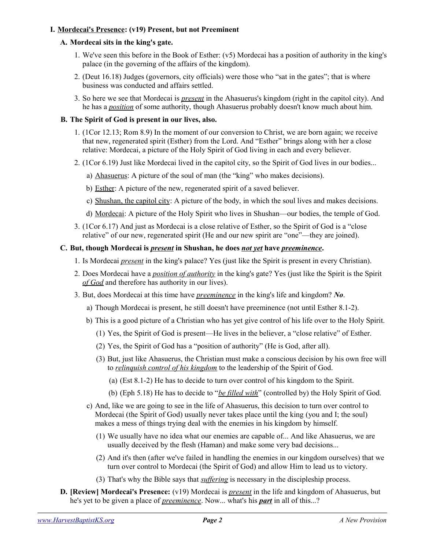#### **I. Mordecai's Presence: (v19) Present, but not Preeminent**

#### **A. Mordecai sits in the king's gate.**

- 1. We've seen this before in the Book of Esther: (v5) Mordecai has a position of authority in the king's palace (in the governing of the affairs of the kingdom).
- 2. (Deut 16.18) Judges (governors, city officials) were those who "sat in the gates"; that is where business was conducted and affairs settled.
- 3. So here we see that Mordecai is *present* in the Ahasuerus's kingdom (right in the capitol city). And he has a *position* of some authority, though Ahasuerus probably doesn't know much about him.

#### **B. The Spirit of God is present in our lives, also.**

- 1. (1Cor 12.13; Rom 8.9) In the moment of our conversion to Christ, we are born again; we receive that new, regenerated spirit (Esther) from the Lord. And "Esther" brings along with her a close relative: Mordecai, a picture of the Holy Spirit of God living in each and every believer.
- 2. (1Cor 6.19) Just like Mordecai lived in the capitol city, so the Spirit of God lives in our bodies...
	- a) Ahasuerus: A picture of the soul of man (the "king" who makes decisions).
	- b) Esther: A picture of the new, regenerated spirit of a saved believer.
	- c) Shushan, the capitol city: A picture of the body, in which the soul lives and makes decisions.
	- d) Mordecai: A picture of the Holy Spirit who lives in Shushan—our bodies, the temple of God.
- 3. (1Cor 6.17) And just as Mordecai is a close relative of Esther, so the Spirit of God is a "close relative" of our new, regenerated spirit (He and our new spirit are "one"—they are joined).

#### **C. But, though Mordecai is** *present* **in Shushan, he does** *not yet* **have** *preeminence***.**

- 1. Is Mordecai *present* in the king's palace? Yes (just like the Spirit is present in every Christian).
- 2. Does Mordecai have a *position of authority* in the king's gate? Yes (just like the Spirit is the Spirit *of God* and therefore has authority in our lives).
- 3. But, does Mordecai at this time have *preeminence* in the king's life and kingdom? *No*.
	- a) Though Mordecai is present, he still doesn't have preeminence (not until Esther 8.1-2).
	- b) This is a good picture of a Christian who has yet give control of his life over to the Holy Spirit.
		- (1) Yes, the Spirit of God is present—He lives in the believer, a "close relative" of Esther.
		- (2) Yes, the Spirit of God has a "position of authority" (He is God, after all).
		- (3) But, just like Ahasuerus, the Christian must make a conscious decision by his own free will to *relinquish control of his kingdom* to the leadership of the Spirit of God.
			- (a) (Est 8.1-2) He has to decide to turn over control of his kingdom to the Spirit.
			- (b) (Eph 5.18) He has to decide to "*be filled with*" (controlled by) the Holy Spirit of God.
	- c) And, like we are going to see in the life of Ahasuerus, this decision to turn over control to Mordecai (the Spirit of God) usually never takes place until the king (you and I; the soul) makes a mess of things trying deal with the enemies in his kingdom by himself.
		- (1) We usually have no idea what our enemies are capable of... And like Ahasuerus, we are usually deceived by the flesh (Haman) and make some very bad decisions...
		- (2) And it's then (after we've failed in handling the enemies in our kingdom ourselves) that we turn over control to Mordecai (the Spirit of God) and allow Him to lead us to victory.
		- (3) That's why the Bible says that *suffering* is necessary in the discipleship process.
- **D. [Review] Mordecai's Presence:** (v19) Mordecai is *present* in the life and kingdom of Ahasuerus, but he's yet to be given a place of *preeminence*. Now... what's his *part* in all of this...?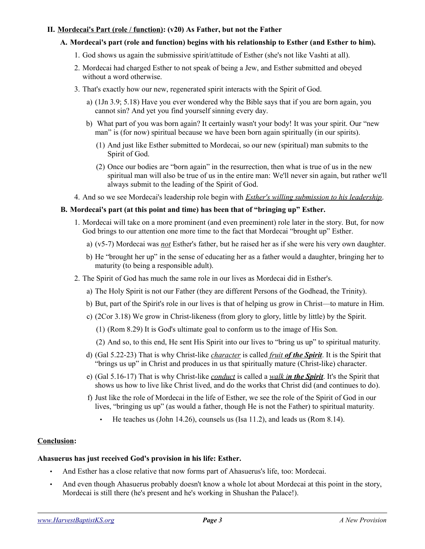#### **II. Mordecai's Part (role / function): (v20) As Father, but not the Father**

#### **A. Mordecai's part (role and function) begins with his relationship to Esther (and Esther to him).**

- 1. God shows us again the submissive spirit/attitude of Esther (she's not like Vashti at all).
- 2. Mordecai had charged Esther to not speak of being a Jew, and Esther submitted and obeyed without a word otherwise.
- 3. That's exactly how our new, regenerated spirit interacts with the Spirit of God.
	- a) (1Jn 3.9; 5.18) Have you ever wondered why the Bible says that if you are born again, you cannot sin? And yet you find yourself sinning every day.
	- b) What part of you was born again? It certainly wasn't your body! It was your spirit. Our "new man" is (for now) spiritual because we have been born again spiritually (in our spirits).
		- (1) And just like Esther submitted to Mordecai, so our new (spiritual) man submits to the Spirit of God.
		- (2) Once our bodies are "born again" in the resurrection, then what is true of us in the new spiritual man will also be true of us in the entire man: We'll never sin again, but rather we'll always submit to the leading of the Spirit of God.
- 4. And so we see Mordecai's leadership role begin with *Esther's willing submission to his leadership*.

#### **B. Mordecai's part (at this point and time) has been that of "bringing up" Esther.**

- 1. Mordecai will take on a more prominent (and even preeminent) role later in the story. But, for now God brings to our attention one more time to the fact that Mordecai "brought up" Esther.
	- a) (v5-7) Mordecai was *not* Esther's father, but he raised her as if she were his very own daughter.
	- b) He "brought her up" in the sense of educating her as a father would a daughter, bringing her to maturity (to being a responsible adult).
- 2. The Spirit of God has much the same role in our lives as Mordecai did in Esther's.
	- a) The Holy Spirit is not our Father (they are different Persons of the Godhead, the Trinity).
	- b) But, part of the Spirit's role in our lives is that of helping us grow in Christ—to mature in Him.
	- c) (2Cor 3.18) We grow in Christ-likeness (from glory to glory, little by little) by the Spirit.
		- (1) (Rom 8.29) It is God's ultimate goal to conform us to the image of His Son.
		- (2) And so, to this end, He sent His Spirit into our lives to "bring us up" to spiritual maturity.
	- d) (Gal 5.22-23) That is why Christ-like *character* is called *fruit of the Spirit*. It is the Spirit that "brings us up" in Christ and produces in us that spiritually mature (Christ-like) character.
	- e) (Gal 5.16-17) That is why Christ-like *conduct* is called a *walk i n the Spirit*. It's the Spirit that shows us how to live like Christ lived, and do the works that Christ did (and continues to do).
	- f) Just like the role of Mordecai in the life of Esther, we see the role of the Spirit of God in our lives, "bringing us up" (as would a father, though He is not the Father) to spiritual maturity.
		- He teaches us (John 14.26), counsels us (Isa 11.2), and leads us (Rom  $8.14$ ).

#### **Conclusion:**

### **Ahasuerus has just received God's provision in his life: Esther.**

- And Esther has a close relative that now forms part of Ahasuerus's life, too: Mordecai.
- And even though Ahasuerus probably doesn't know a whole lot about Mordecai at this point in the story, Mordecai is still there (he's present and he's working in Shushan the Palace!).